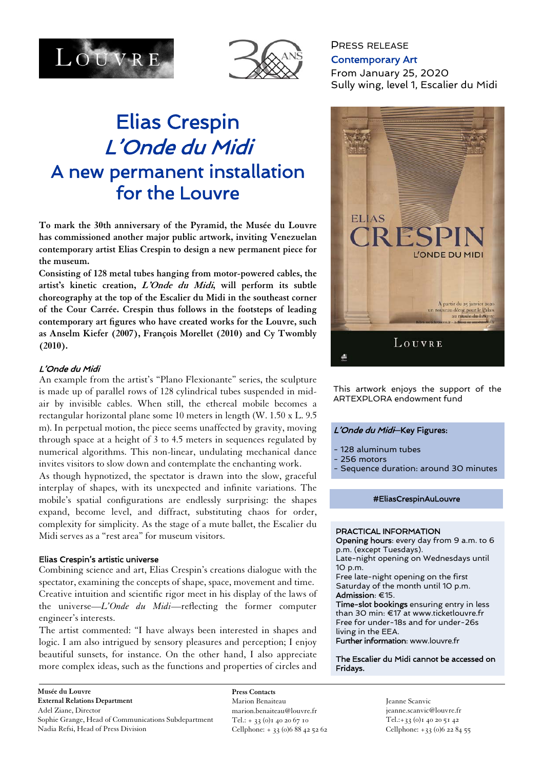



# Elias Crespin L'Onde du Midi A new permanent installation for the Louvre

**To mark the 30th anniversary of the Pyramid, the Musée du Louvre has commissioned another major public artwork, inviting Venezuelan contemporary artist Elias Crespin to design a new permanent piece for the museum.** 

**Consisting of 128 metal tubes hanging from motor-powered cables, the artist's kinetic creation, L'Onde du Midi, will perform its subtle choreography at the top of the Escalier du Midi in the southeast corner of the Cour Carrée. Crespin thus follows in the footsteps of leading contemporary art figures who have created works for the Louvre, such as Anselm Kiefer (2007), François Morellet (2010) and Cy Twombly (2010).** 

# L'Onde du Midi

An example from the artist's "Plano Flexionante" series, the sculpture is made up of parallel rows of 128 cylindrical tubes suspended in midair by invisible cables. When still, the ethereal mobile becomes a rectangular horizontal plane some 10 meters in length (W. 1.50 x L. 9.5 m). In perpetual motion, the piece seems unaffected by gravity, moving through space at a height of 3 to 4.5 meters in sequences regulated by numerical algorithms. This non-linear, undulating mechanical dance invites visitors to slow down and contemplate the enchanting work.

As though hypnotized, the spectator is drawn into the slow, graceful interplay of shapes, with its unexpected and infinite variations. The mobile's spatial configurations are endlessly surprising: the shapes expand, become level, and diffract, substituting chaos for order, complexity for simplicity. As the stage of a mute ballet, the Escalier du Midi serves as a "rest area" for museum visitors.

# Elias Crespin's artistic universe

Combining science and art, Elias Crespin's creations dialogue with the spectator, examining the concepts of shape, space, movement and time. Creative intuition and scientific rigor meet in his display of the laws of the universe—*L'Onde du Midi*—reflecting the former computer engineer's interests.

The artist commented: "I have always been interested in shapes and logic. I am also intrigued by sensory pleasures and perception; I enjoy beautiful sunsets, for instance. On the other hand, I also appreciate more complex ideas, such as the functions and properties of circles and

**Musée du Louvre External Relations Department**  Adel Ziane, Director Sophie Grange, Head of Communications Subdepartment Nadia Refsi, Head of Press Division

**Press Contacts**  Marion Benaiteau marion.benaiteau@louvre.fr Tel.: + 33 (0)1 40 20 67 10 Cellphone: + 33 (0)6 88 42 52 62

# PRESS RELEASE Contemporary Art From January 25, 2020 Sully wing, level 1, Escalier du Midi



This artwork enjoys the support of the ARTEXPLORA endowment fund

#### <sup>L</sup>'Onde du Midi—Key Figures:

- 128 aluminum tubes
- 256 motors
- Sequence duration: around 30 minutes

#### #EliasCrespinAuLouvre

#### PRACTICAL INFORMATION

Opening hours: every day from 9 a.m. to 6 p.m. (except Tuesdays).

Late-night opening on Wednesdays until 10 p.m.

Free late-night opening on the first Saturday of the month until 10 p.m. Admission: €15.

Time-slot bookings ensuring entry in less than 30 min: €17 at www.ticketlouvre.fr Free for under-18s and for under-26s living in the EEA.

Further information: www.louvre.fr

#### The Escalier du Midi cannot be accessed on Fridays.

Jeanne Scanvic jeanne.scanvic@louvre.fr Tel.:+33 (0)1 40 20 51 42 Cellphone: +33 (0)6 22 84 55